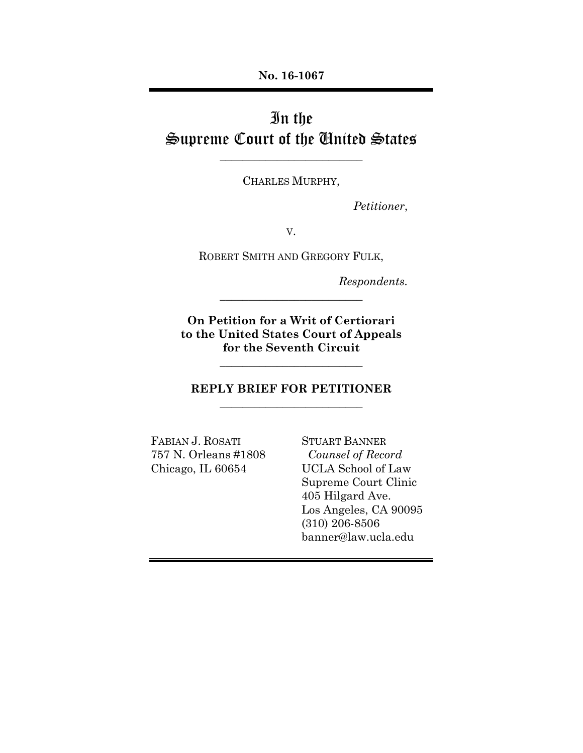**No. 16-1067** 

# In the Supreme Court of the United States

CHARLES MURPHY,

\_\_\_\_\_\_\_\_\_\_\_\_\_\_\_\_\_\_\_\_\_\_\_\_\_

 *Petitioner*,

V.

ROBERT SMITH AND GREGORY FULK,

*Respondents.* 

**On Petition for a Writ of Certiorari to the United States Court of Appeals for the Seventh Circuit** 

\_\_\_\_\_\_\_\_\_\_\_\_\_\_\_\_\_\_\_\_\_\_\_\_\_

## **REPLY BRIEF FOR PETITIONER**  \_\_\_\_\_\_\_\_\_\_\_\_\_\_\_\_\_\_\_\_\_\_\_\_\_

\_\_\_\_\_\_\_\_\_\_\_\_\_\_\_\_\_\_\_\_\_\_\_\_\_

FABIAN J. ROSATI STUART BANNER 757 N. Orleans #1808 *Counsel of Record* Chicago, IL 60654 UCLA School of Law

 Supreme Court Clinic 405 Hilgard Ave. Los Angeles, CA 90095 (310) 206-8506 banner@law.ucla.edu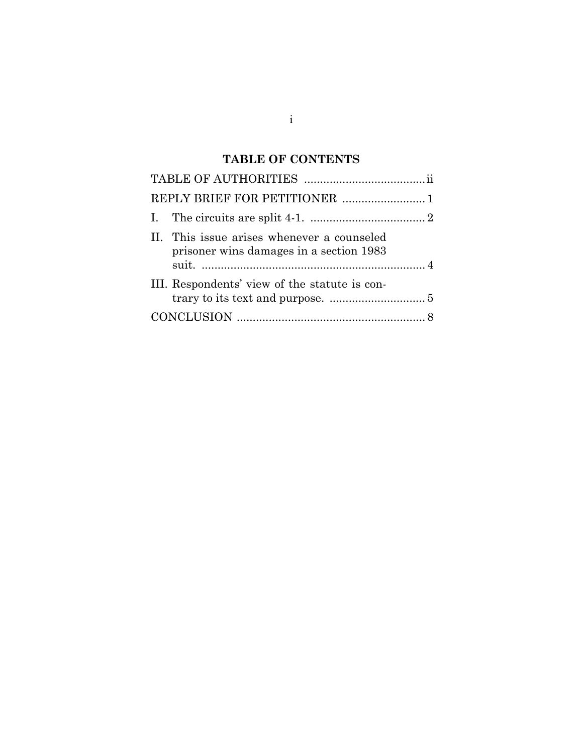# **TABLE OF CONTENTS**

| REPLY BRIEF FOR PETITIONER  1                                                         |  |
|---------------------------------------------------------------------------------------|--|
|                                                                                       |  |
| II. This issue arises whenever a counseled<br>prisoner wins damages in a section 1983 |  |
| III. Respondents' view of the statute is con-                                         |  |
|                                                                                       |  |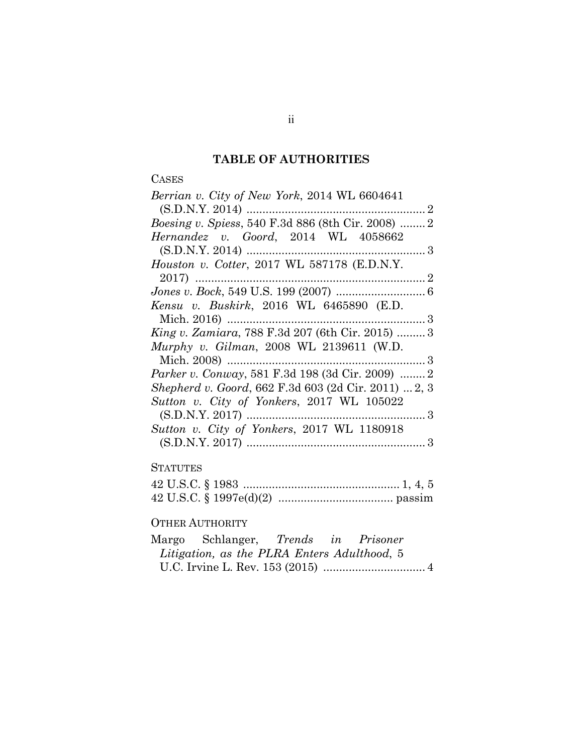# **TABLE OF AUTHORITIES**

# CASES

| Berrian v. City of New York, 2014 WL 6604641               |  |
|------------------------------------------------------------|--|
|                                                            |  |
| <i>Boesing v. Spiess, 540 F.3d 886 (8th Cir. 2008)  2</i>  |  |
| Hernandez v. Goord, 2014 WL 4058662                        |  |
|                                                            |  |
| Houston v. Cotter, 2017 WL 587178 (E.D.N.Y.                |  |
|                                                            |  |
|                                                            |  |
| Kensu v. Buskirk, 2016 WL 6465890 (E.D.                    |  |
|                                                            |  |
| <i>King v. Zamiara, 788 F.3d 207 (6th Cir. 2015) </i> 3    |  |
| Murphy v. Gilman, 2008 WL 2139611 (W.D.                    |  |
|                                                            |  |
| Parker v. Conway, 581 F.3d 198 (3d Cir. 2009)  2           |  |
| <i>Shepherd v. Goord, 662 F.3d 603 (2d Cir. 2011) 2, 3</i> |  |
| Sutton v. City of Yonkers, 2017 WL 105022                  |  |
|                                                            |  |
| Sutton v. City of Yonkers, 2017 WL 1180918                 |  |
|                                                            |  |

# **STATUTES**

## OTHER AUTHORITY

| Margo Schlanger, <i>Trends in Prisoner</i>  |  |  |
|---------------------------------------------|--|--|
| Litigation, as the PLRA Enters Adulthood, 5 |  |  |
|                                             |  |  |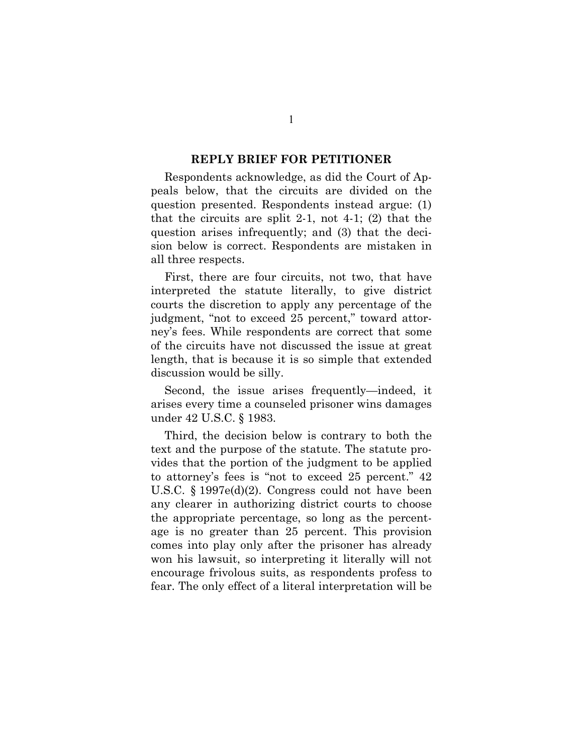#### **REPLY BRIEF FOR PETITIONER**

Respondents acknowledge, as did the Court of Appeals below, that the circuits are divided on the question presented. Respondents instead argue: (1) that the circuits are split 2-1, not 4-1; (2) that the question arises infrequently; and (3) that the decision below is correct. Respondents are mistaken in all three respects.

First, there are four circuits, not two, that have interpreted the statute literally, to give district courts the discretion to apply any percentage of the judgment, "not to exceed 25 percent," toward attorney's fees. While respondents are correct that some of the circuits have not discussed the issue at great length, that is because it is so simple that extended discussion would be silly.

Second, the issue arises frequently—indeed, it arises every time a counseled prisoner wins damages under 42 U.S.C. § 1983.

Third, the decision below is contrary to both the text and the purpose of the statute. The statute provides that the portion of the judgment to be applied to attorney's fees is "not to exceed 25 percent." 42 U.S.C. § 1997e(d)(2). Congress could not have been any clearer in authorizing district courts to choose the appropriate percentage, so long as the percentage is no greater than 25 percent. This provision comes into play only after the prisoner has already won his lawsuit, so interpreting it literally will not encourage frivolous suits, as respondents profess to fear. The only effect of a literal interpretation will be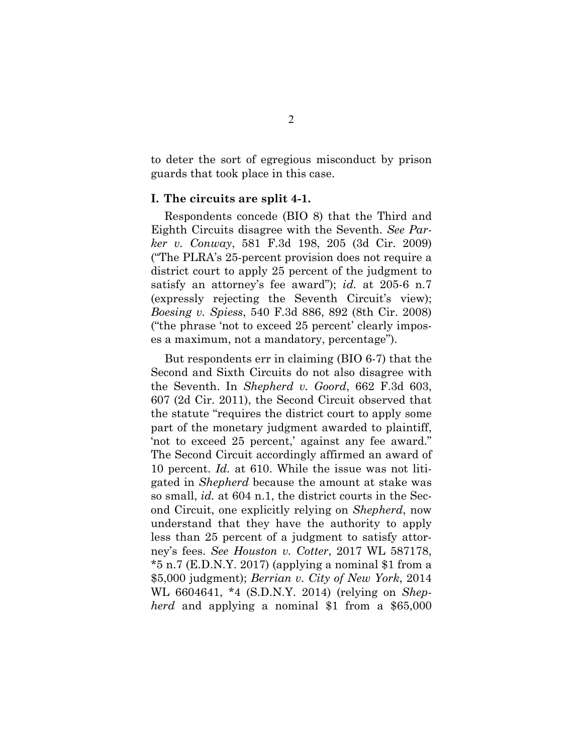to deter the sort of egregious misconduct by prison guards that took place in this case.

#### **I. The circuits are split 4-1.**

Respondents concede (BIO 8) that the Third and Eighth Circuits disagree with the Seventh. *See Parker v. Conway*, 581 F.3d 198, 205 (3d Cir. 2009) ("The PLRA's 25-percent provision does not require a district court to apply 25 percent of the judgment to satisfy an attorney's fee award"); *id.* at 205-6 n.7 (expressly rejecting the Seventh Circuit's view); *Boesing v. Spiess*, 540 F.3d 886, 892 (8th Cir. 2008) ("the phrase 'not to exceed 25 percent' clearly imposes a maximum, not a mandatory, percentage").

But respondents err in claiming (BIO 6-7) that the Second and Sixth Circuits do not also disagree with the Seventh. In *Shepherd v. Goord*, 662 F.3d 603, 607 (2d Cir. 2011), the Second Circuit observed that the statute "requires the district court to apply some part of the monetary judgment awarded to plaintiff, 'not to exceed 25 percent,' against any fee award." The Second Circuit accordingly affirmed an award of 10 percent. *Id.* at 610. While the issue was not litigated in *Shepherd* because the amount at stake was so small, *id.* at 604 n.1, the district courts in the Second Circuit, one explicitly relying on *Shepherd*, now understand that they have the authority to apply less than 25 percent of a judgment to satisfy attorney's fees. *See Houston v. Cotter*, 2017 WL 587178, \*5 n.7 (E.D.N.Y. 2017) (applying a nominal \$1 from a \$5,000 judgment); *Berrian v. City of New York*, 2014 WL 6604641, \*4 (S.D.N.Y. 2014) (relying on *Shepherd* and applying a nominal \$1 from a \$65,000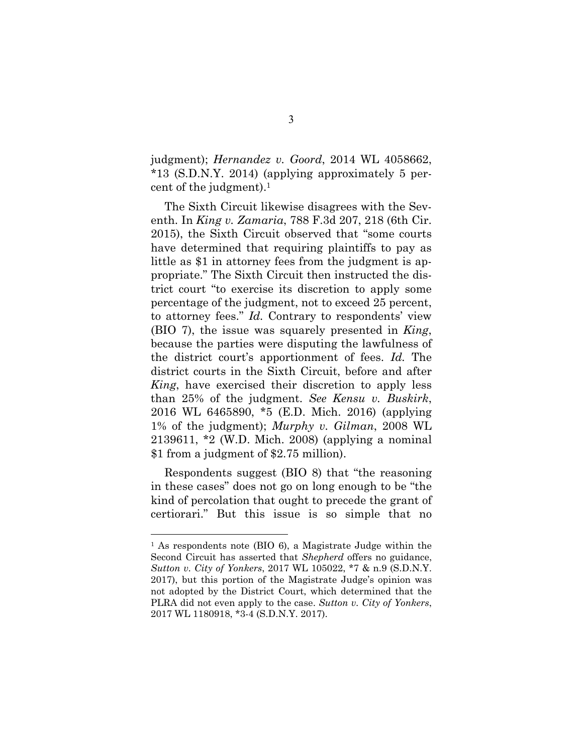judgment); *Hernandez v. Goord*, 2014 WL 4058662, \*13 (S.D.N.Y. 2014) (applying approximately 5 percent of the judgment).1

The Sixth Circuit likewise disagrees with the Seventh. In *King v. Zamaria*, 788 F.3d 207, 218 (6th Cir. 2015), the Sixth Circuit observed that "some courts have determined that requiring plaintiffs to pay as little as \$1 in attorney fees from the judgment is appropriate." The Sixth Circuit then instructed the district court "to exercise its discretion to apply some percentage of the judgment, not to exceed 25 percent, to attorney fees." *Id.* Contrary to respondents' view (BIO 7), the issue was squarely presented in *King*, because the parties were disputing the lawfulness of the district court's apportionment of fees. *Id.* The district courts in the Sixth Circuit, before and after *King*, have exercised their discretion to apply less than 25% of the judgment. *See Kensu v. Buskirk*, 2016 WL 6465890, \*5 (E.D. Mich. 2016) (applying 1% of the judgment); *Murphy v. Gilman*, 2008 WL 2139611, \*2 (W.D. Mich. 2008) (applying a nominal \$1 from a judgment of \$2.75 million).

Respondents suggest (BIO 8) that "the reasoning in these cases" does not go on long enough to be "the kind of percolation that ought to precede the grant of certiorari." But this issue is so simple that no

 $\overline{a}$ 

<sup>1</sup> As respondents note (BIO 6), a Magistrate Judge within the Second Circuit has asserted that *Shepherd* offers no guidance, *Sutton v. City of Yonkers*, 2017 WL 105022, \*7 & n.9 (S.D.N.Y. 2017), but this portion of the Magistrate Judge's opinion was not adopted by the District Court, which determined that the PLRA did not even apply to the case. *Sutton v. City of Yonkers*, 2017 WL 1180918, \*3-4 (S.D.N.Y. 2017).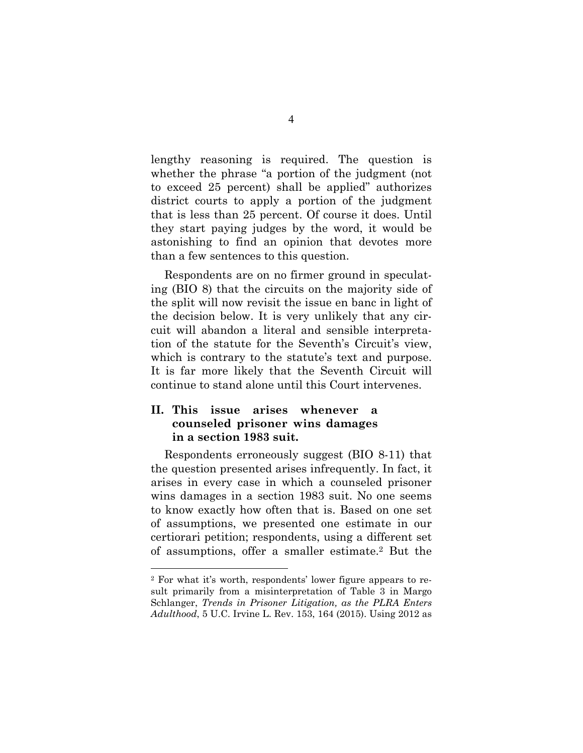lengthy reasoning is required. The question is whether the phrase "a portion of the judgment (not to exceed 25 percent) shall be applied" authorizes district courts to apply a portion of the judgment that is less than 25 percent. Of course it does. Until they start paying judges by the word, it would be astonishing to find an opinion that devotes more than a few sentences to this question.

Respondents are on no firmer ground in speculating (BIO 8) that the circuits on the majority side of the split will now revisit the issue en banc in light of the decision below. It is very unlikely that any circuit will abandon a literal and sensible interpretation of the statute for the Seventh's Circuit's view, which is contrary to the statute's text and purpose. It is far more likely that the Seventh Circuit will continue to stand alone until this Court intervenes.

## **II. This issue arises whenever a counseled prisoner wins damages in a section 1983 suit.**

 $\overline{a}$ 

Respondents erroneously suggest (BIO 8-11) that the question presented arises infrequently. In fact, it arises in every case in which a counseled prisoner wins damages in a section 1983 suit. No one seems to know exactly how often that is. Based on one set of assumptions, we presented one estimate in our certiorari petition; respondents, using a different set of assumptions, offer a smaller estimate.2 But the

<sup>2</sup> For what it's worth, respondents' lower figure appears to result primarily from a misinterpretation of Table 3 in Margo Schlanger, *Trends in Prisoner Litigation, as the PLRA Enters Adulthood*, 5 U.C. Irvine L. Rev. 153, 164 (2015). Using 2012 as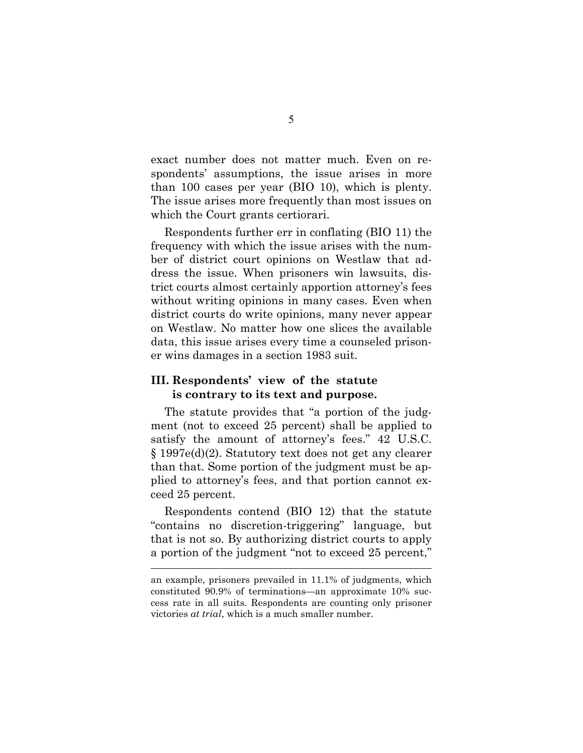exact number does not matter much. Even on respondents' assumptions, the issue arises in more than 100 cases per year (BIO 10), which is plenty. The issue arises more frequently than most issues on which the Court grants certiorari.

Respondents further err in conflating (BIO 11) the frequency with which the issue arises with the number of district court opinions on Westlaw that address the issue. When prisoners win lawsuits, district courts almost certainly apportion attorney's fees without writing opinions in many cases. Even when district courts do write opinions, many never appear on Westlaw. No matter how one slices the available data, this issue arises every time a counseled prisoner wins damages in a section 1983 suit.

#### **III. Respondents' view of the statute is contrary to its text and purpose.**

The statute provides that "a portion of the judgment (not to exceed 25 percent) shall be applied to satisfy the amount of attorney's fees." 42 U.S.C. § 1997e(d)(2). Statutory text does not get any clearer than that. Some portion of the judgment must be applied to attorney's fees, and that portion cannot exceed 25 percent.

Respondents contend (BIO 12) that the statute "contains no discretion-triggering" language, but that is not so. By authorizing district courts to apply a portion of the judgment "not to exceed 25 percent,"

 $\overline{a}$ 

an example, prisoners prevailed in 11.1% of judgments, which constituted 90.9% of terminations—an approximate 10% success rate in all suits. Respondents are counting only prisoner victories *at trial*, which is a much smaller number.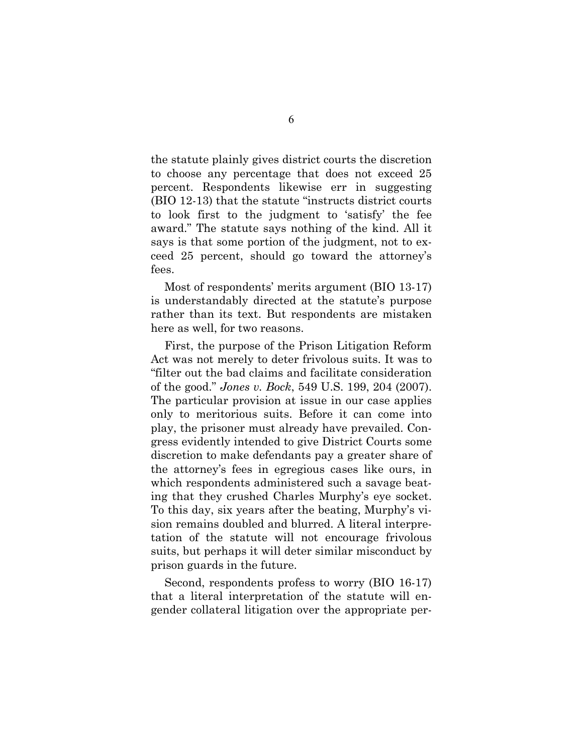the statute plainly gives district courts the discretion to choose any percentage that does not exceed 25 percent. Respondents likewise err in suggesting (BIO 12-13) that the statute "instructs district courts to look first to the judgment to 'satisfy' the fee award." The statute says nothing of the kind. All it says is that some portion of the judgment, not to exceed 25 percent, should go toward the attorney's fees.

Most of respondents' merits argument (BIO 13-17) is understandably directed at the statute's purpose rather than its text. But respondents are mistaken here as well, for two reasons.

First, the purpose of the Prison Litigation Reform Act was not merely to deter frivolous suits. It was to "filter out the bad claims and facilitate consideration of the good." *Jones v. Bock*, 549 U.S. 199, 204 (2007). The particular provision at issue in our case applies only to meritorious suits. Before it can come into play, the prisoner must already have prevailed. Congress evidently intended to give District Courts some discretion to make defendants pay a greater share of the attorney's fees in egregious cases like ours, in which respondents administered such a savage beating that they crushed Charles Murphy's eye socket. To this day, six years after the beating, Murphy's vision remains doubled and blurred. A literal interpretation of the statute will not encourage frivolous suits, but perhaps it will deter similar misconduct by prison guards in the future.

Second, respondents profess to worry (BIO 16-17) that a literal interpretation of the statute will engender collateral litigation over the appropriate per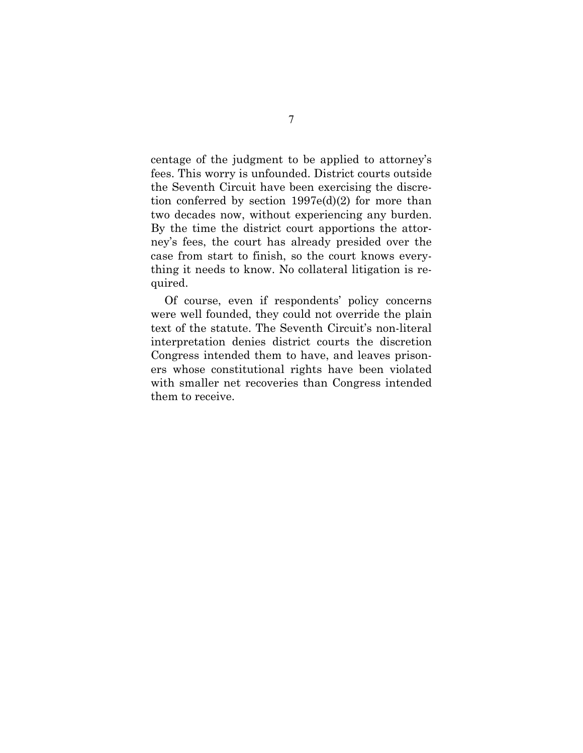centage of the judgment to be applied to attorney's fees. This worry is unfounded. District courts outside the Seventh Circuit have been exercising the discretion conferred by section 1997e(d)(2) for more than two decades now, without experiencing any burden. By the time the district court apportions the attorney's fees, the court has already presided over the case from start to finish, so the court knows everything it needs to know. No collateral litigation is required.

Of course, even if respondents' policy concerns were well founded, they could not override the plain text of the statute. The Seventh Circuit's non-literal interpretation denies district courts the discretion Congress intended them to have, and leaves prisoners whose constitutional rights have been violated with smaller net recoveries than Congress intended them to receive.